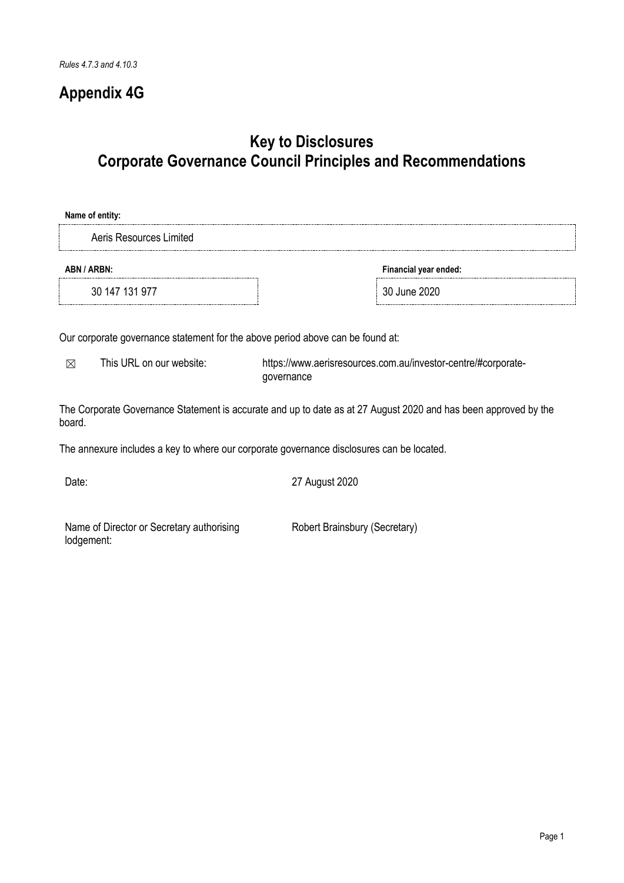# **Appendix 4G**

# **Key to Disclosures Corporate Governance Council Principles and Recommendations**

| Financial year ended: |
|-----------------------|
| 30 June 2020          |
|                       |
|                       |

Our corporate governance statement for the above period above can be found at:

☒ This URL on our website: [https://www.aerisresources.com.au/investor-centre/#corporate](https://www.aerisresources.com.au/investor-centre/#corporate-governance)[governance](https://www.aerisresources.com.au/investor-centre/#corporate-governance)

The Corporate Governance Statement is accurate and up to date as at 27 August 2020 and has been approved by the board.

The annexure includes a key to where our corporate governance disclosures can be located.

Date: 27 August 2020

Name of Director or Secretary authorising lodgement:

Robert Brainsbury (Secretary)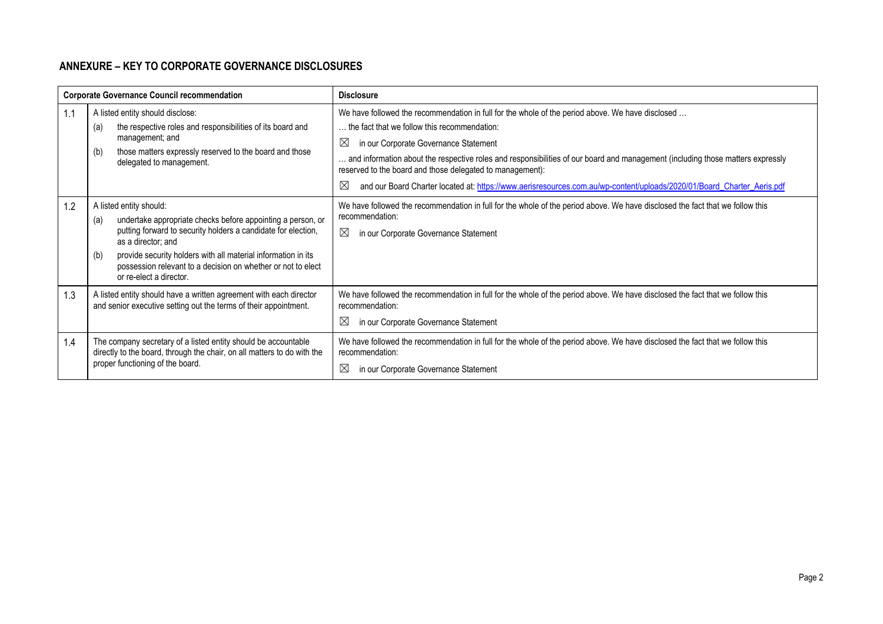## **ANNEXURE – KEY TO CORPORATE GOVERNANCE DISCLOSURES**

| <b>Corporate Governance Council recommendation</b> |                                                                                                                                                                                                                                                                                                                                                         | <b>Disclosure</b>                                                                                                                                                                                                                                                                                                                                                                                                                                                                                                                      |
|----------------------------------------------------|---------------------------------------------------------------------------------------------------------------------------------------------------------------------------------------------------------------------------------------------------------------------------------------------------------------------------------------------------------|----------------------------------------------------------------------------------------------------------------------------------------------------------------------------------------------------------------------------------------------------------------------------------------------------------------------------------------------------------------------------------------------------------------------------------------------------------------------------------------------------------------------------------------|
| 1.1                                                | A listed entity should disclose:<br>the respective roles and responsibilities of its board and<br>(a)<br>management; and<br>those matters expressly reserved to the board and those<br>(b)<br>delegated to management.                                                                                                                                  | We have followed the recommendation in full for the whole of the period above. We have disclosed<br>the fact that we follow this recommendation:<br>$\boxtimes$<br>in our Corporate Governance Statement<br>and information about the respective roles and responsibilities of our board and management (including those matters expressly<br>reserved to the board and those delegated to management):<br>⊠<br>and our Board Charter located at: https://www.aerisresources.com.au/wp-content/uploads/2020/01/Board_Charter_Aeris.pdf |
| 1.2                                                | A listed entity should:<br>undertake appropriate checks before appointing a person, or<br>(a)<br>putting forward to security holders a candidate for election,<br>as a director; and<br>provide security holders with all material information in its<br>(b)<br>possession relevant to a decision on whether or not to elect<br>or re-elect a director. | We have followed the recommendation in full for the whole of the period above. We have disclosed the fact that we follow this<br>recommendation:<br>$\boxtimes$<br>in our Corporate Governance Statement                                                                                                                                                                                                                                                                                                                               |
| 1.3                                                | A listed entity should have a written agreement with each director<br>and senior executive setting out the terms of their appointment.                                                                                                                                                                                                                  | We have followed the recommendation in full for the whole of the period above. We have disclosed the fact that we follow this<br>recommendation:<br>$\boxtimes$<br>in our Corporate Governance Statement                                                                                                                                                                                                                                                                                                                               |
| 1.4                                                | The company secretary of a listed entity should be accountable<br>directly to the board, through the chair, on all matters to do with the<br>proper functioning of the board.                                                                                                                                                                           | We have followed the recommendation in full for the whole of the period above. We have disclosed the fact that we follow this<br>recommendation:<br>$\boxtimes$<br>in our Corporate Governance Statement                                                                                                                                                                                                                                                                                                                               |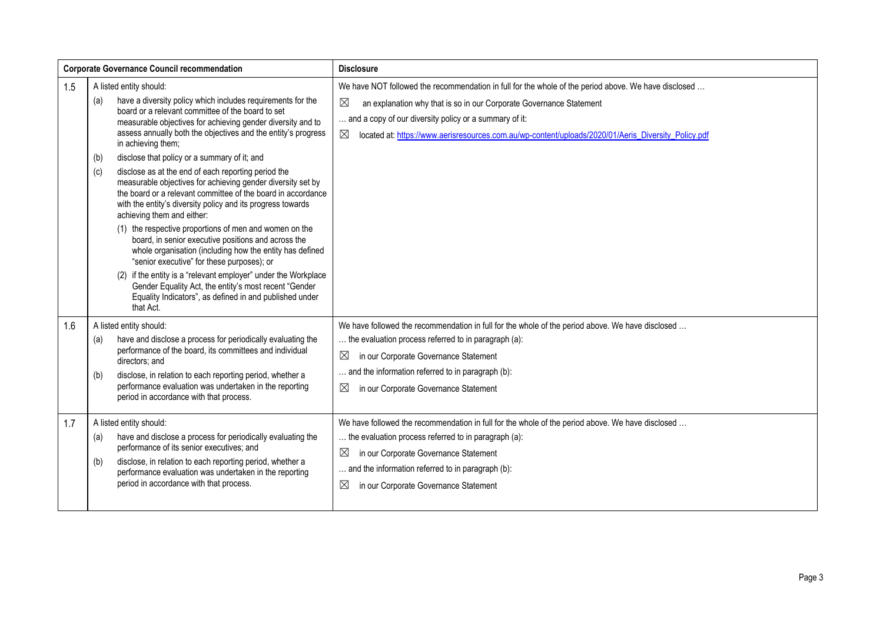| <b>Corporate Governance Council recommendation</b> |                                                                                                                                                                                                                                                                                                                                                                                                                                                                                                                                                                                                                                                                                                                                                                                                                                                                                                                                                                                                                                                                                            | <b>Disclosure</b>                                                                                                                                                                                                                                                                                                                                                          |
|----------------------------------------------------|--------------------------------------------------------------------------------------------------------------------------------------------------------------------------------------------------------------------------------------------------------------------------------------------------------------------------------------------------------------------------------------------------------------------------------------------------------------------------------------------------------------------------------------------------------------------------------------------------------------------------------------------------------------------------------------------------------------------------------------------------------------------------------------------------------------------------------------------------------------------------------------------------------------------------------------------------------------------------------------------------------------------------------------------------------------------------------------------|----------------------------------------------------------------------------------------------------------------------------------------------------------------------------------------------------------------------------------------------------------------------------------------------------------------------------------------------------------------------------|
| 1.5                                                | A listed entity should:<br>have a diversity policy which includes requirements for the<br>(a)<br>board or a relevant committee of the board to set<br>measurable objectives for achieving gender diversity and to<br>assess annually both the objectives and the entity's progress<br>in achieving them;<br>disclose that policy or a summary of it; and<br>(b)<br>disclose as at the end of each reporting period the<br>(c)<br>measurable objectives for achieving gender diversity set by<br>the board or a relevant committee of the board in accordance<br>with the entity's diversity policy and its progress towards<br>achieving them and either:<br>(1) the respective proportions of men and women on the<br>board, in senior executive positions and across the<br>whole organisation (including how the entity has defined<br>"senior executive" for these purposes); or<br>if the entity is a "relevant employer" under the Workplace<br>(2)<br>Gender Equality Act, the entity's most recent "Gender<br>Equality Indicators", as defined in and published under<br>that Act. | We have NOT followed the recommendation in full for the whole of the period above. We have disclosed<br>$\boxtimes$<br>an explanation why that is so in our Corporate Governance Statement<br>and a copy of our diversity policy or a summary of it:<br>$\boxtimes$<br>located at: https://www.aerisresources.com.au/wp-content/uploads/2020/01/Aeris_Diversity_Policy.pdf |
| 1.6                                                | A listed entity should:<br>have and disclose a process for periodically evaluating the<br>(a)<br>performance of the board, its committees and individual<br>directors; and<br>disclose, in relation to each reporting period, whether a<br>(b)<br>performance evaluation was undertaken in the reporting<br>period in accordance with that process.                                                                                                                                                                                                                                                                                                                                                                                                                                                                                                                                                                                                                                                                                                                                        | We have followed the recommendation in full for the whole of the period above. We have disclosed<br>the evaluation process referred to in paragraph (a):<br>$\boxtimes$<br>in our Corporate Governance Statement<br>and the information referred to in paragraph (b):<br>$\boxtimes$<br>in our Corporate Governance Statement                                              |
| 1.7                                                | A listed entity should:<br>have and disclose a process for periodically evaluating the<br>(a)<br>performance of its senior executives; and<br>disclose, in relation to each reporting period, whether a<br>(b)<br>performance evaluation was undertaken in the reporting<br>period in accordance with that process.                                                                                                                                                                                                                                                                                                                                                                                                                                                                                                                                                                                                                                                                                                                                                                        | We have followed the recommendation in full for the whole of the period above. We have disclosed<br>the evaluation process referred to in paragraph (a):<br>$\boxtimes$<br>in our Corporate Governance Statement<br>and the information referred to in paragraph (b):<br>$\boxtimes$<br>in our Corporate Governance Statement                                              |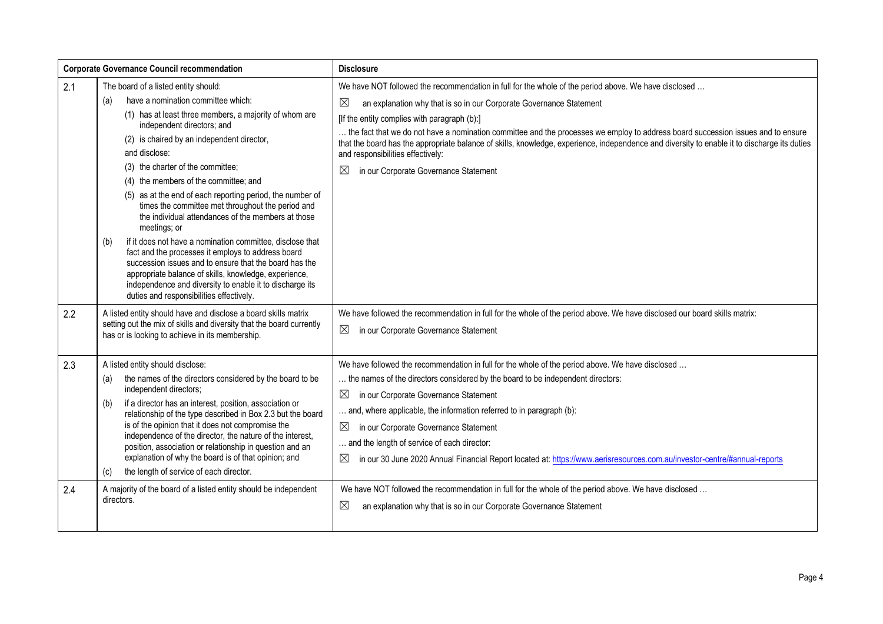| <b>Corporate Governance Council recommendation</b> |                                                                                                                                                                                                                                                                                                                                                                                                                                                                                                                                                                                                                                                                                                                                                                                                                                                                     | <b>Disclosure</b>                                                                                                                                                                                                                                                                                                                                                                                                                                                                                                                                                                                                 |
|----------------------------------------------------|---------------------------------------------------------------------------------------------------------------------------------------------------------------------------------------------------------------------------------------------------------------------------------------------------------------------------------------------------------------------------------------------------------------------------------------------------------------------------------------------------------------------------------------------------------------------------------------------------------------------------------------------------------------------------------------------------------------------------------------------------------------------------------------------------------------------------------------------------------------------|-------------------------------------------------------------------------------------------------------------------------------------------------------------------------------------------------------------------------------------------------------------------------------------------------------------------------------------------------------------------------------------------------------------------------------------------------------------------------------------------------------------------------------------------------------------------------------------------------------------------|
| 2.1                                                | The board of a listed entity should:<br>have a nomination committee which:<br>(a)<br>(1) has at least three members, a majority of whom are<br>independent directors; and<br>(2) is chaired by an independent director,<br>and disclose:<br>(3) the charter of the committee;<br>(4) the members of the committee; and<br>(5) as at the end of each reporting period, the number of<br>times the committee met throughout the period and<br>the individual attendances of the members at those<br>meetings; or<br>if it does not have a nomination committee, disclose that<br>(b)<br>fact and the processes it employs to address board<br>succession issues and to ensure that the board has the<br>appropriate balance of skills, knowledge, experience,<br>independence and diversity to enable it to discharge its<br>duties and responsibilities effectively. | We have NOT followed the recommendation in full for the whole of the period above. We have disclosed<br>$\boxtimes$<br>an explanation why that is so in our Corporate Governance Statement<br>[If the entity complies with paragraph (b):]<br>the fact that we do not have a nomination committee and the processes we employ to address board succession issues and to ensure<br>that the board has the appropriate balance of skills, knowledge, experience, independence and diversity to enable it to discharge its duties<br>and responsibilities effectively:<br>in our Corporate Governance Statement<br>⊠ |
| 2.2                                                | A listed entity should have and disclose a board skills matrix<br>setting out the mix of skills and diversity that the board currently<br>has or is looking to achieve in its membership.                                                                                                                                                                                                                                                                                                                                                                                                                                                                                                                                                                                                                                                                           | We have followed the recommendation in full for the whole of the period above. We have disclosed our board skills matrix:<br>⊠<br>in our Corporate Governance Statement                                                                                                                                                                                                                                                                                                                                                                                                                                           |
| 2.3                                                | A listed entity should disclose:<br>the names of the directors considered by the board to be<br>(a)<br>independent directors;<br>if a director has an interest, position, association or<br>(b)<br>relationship of the type described in Box 2.3 but the board<br>is of the opinion that it does not compromise the<br>independence of the director, the nature of the interest,<br>position, association or relationship in question and an<br>explanation of why the board is of that opinion; and<br>the length of service of each director.<br>(c)                                                                                                                                                                                                                                                                                                              | We have followed the recommendation in full for the whole of the period above. We have disclosed<br>the names of the directors considered by the board to be independent directors:<br>⊠<br>in our Corporate Governance Statement<br>and, where applicable, the information referred to in paragraph (b):<br>$\boxtimes$<br>in our Corporate Governance Statement<br>and the length of service of each director:<br>$\boxtimes$<br>in our 30 June 2020 Annual Financial Report located at: https://www.aerisresources.com.au/investor-centre/#annual-reports                                                      |
| 2.4                                                | A majority of the board of a listed entity should be independent<br>directors.                                                                                                                                                                                                                                                                                                                                                                                                                                                                                                                                                                                                                                                                                                                                                                                      | We have NOT followed the recommendation in full for the whole of the period above. We have disclosed<br>$\boxtimes$<br>an explanation why that is so in our Corporate Governance Statement                                                                                                                                                                                                                                                                                                                                                                                                                        |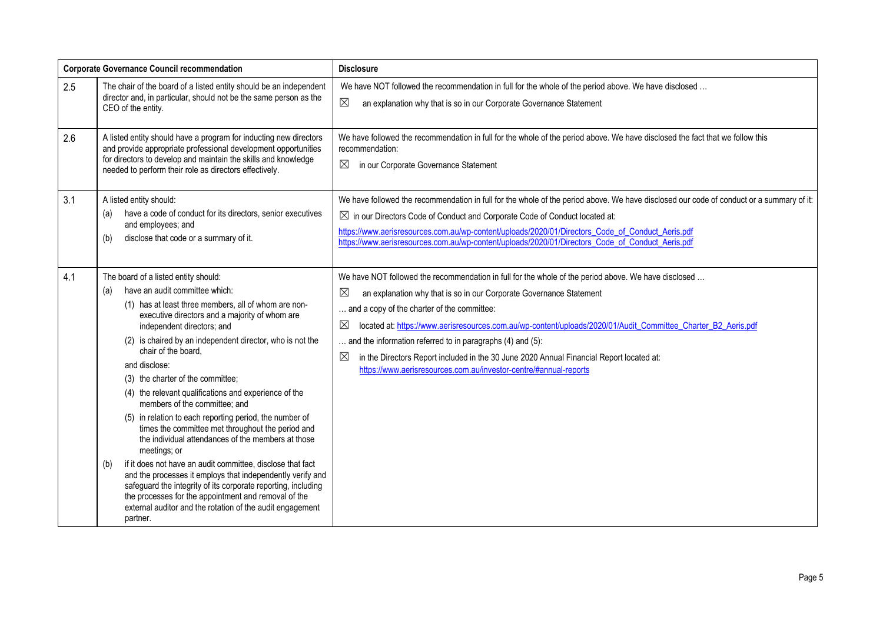| <b>Corporate Governance Council recommendation</b> |                                                                                                                                                                                                                                                                                                                                                                                                                                                                                                                                                                                                                                                                                                                                                                                                                                                                                                                                                                                      | <b>Disclosure</b>                                                                                                                                                                                                                                                                                                                                                                                                                                                                                                                                                                                                       |
|----------------------------------------------------|--------------------------------------------------------------------------------------------------------------------------------------------------------------------------------------------------------------------------------------------------------------------------------------------------------------------------------------------------------------------------------------------------------------------------------------------------------------------------------------------------------------------------------------------------------------------------------------------------------------------------------------------------------------------------------------------------------------------------------------------------------------------------------------------------------------------------------------------------------------------------------------------------------------------------------------------------------------------------------------|-------------------------------------------------------------------------------------------------------------------------------------------------------------------------------------------------------------------------------------------------------------------------------------------------------------------------------------------------------------------------------------------------------------------------------------------------------------------------------------------------------------------------------------------------------------------------------------------------------------------------|
| 2.5                                                | The chair of the board of a listed entity should be an independent<br>director and, in particular, should not be the same person as the<br>CEO of the entity.                                                                                                                                                                                                                                                                                                                                                                                                                                                                                                                                                                                                                                                                                                                                                                                                                        | We have NOT followed the recommendation in full for the whole of the period above. We have disclosed<br>$\boxtimes$<br>an explanation why that is so in our Corporate Governance Statement                                                                                                                                                                                                                                                                                                                                                                                                                              |
| 2.6                                                | A listed entity should have a program for inducting new directors<br>and provide appropriate professional development opportunities<br>for directors to develop and maintain the skills and knowledge<br>needed to perform their role as directors effectively.                                                                                                                                                                                                                                                                                                                                                                                                                                                                                                                                                                                                                                                                                                                      | We have followed the recommendation in full for the whole of the period above. We have disclosed the fact that we follow this<br>recommendation:<br>$\boxtimes$<br>in our Corporate Governance Statement                                                                                                                                                                                                                                                                                                                                                                                                                |
| 3.1                                                | A listed entity should:<br>have a code of conduct for its directors, senior executives<br>(a)<br>and employees; and<br>disclose that code or a summary of it.<br>(b)                                                                                                                                                                                                                                                                                                                                                                                                                                                                                                                                                                                                                                                                                                                                                                                                                 | We have followed the recommendation in full for the whole of the period above. We have disclosed our code of conduct or a summary of it:<br>$\boxtimes$ in our Directors Code of Conduct and Corporate Code of Conduct located at:<br>https://www.aerisresources.com.au/wp-content/uploads/2020/01/Directors Code of Conduct Aeris.pdf<br>https://www.aerisresources.com.au/wp-content/uploads/2020/01/Directors_Code_of_Conduct_Aeris.pdf                                                                                                                                                                              |
| 4.1                                                | The board of a listed entity should:<br>have an audit committee which:<br>(a)<br>(1) has at least three members, all of whom are non-<br>executive directors and a majority of whom are<br>independent directors; and<br>(2) is chaired by an independent director, who is not the<br>chair of the board,<br>and disclose:<br>(3) the charter of the committee;<br>(4) the relevant qualifications and experience of the<br>members of the committee; and<br>(5) in relation to each reporting period, the number of<br>times the committee met throughout the period and<br>the individual attendances of the members at those<br>meetings; or<br>if it does not have an audit committee, disclose that fact<br>(b)<br>and the processes it employs that independently verify and<br>safeguard the integrity of its corporate reporting, including<br>the processes for the appointment and removal of the<br>external auditor and the rotation of the audit engagement<br>partner. | We have NOT followed the recommendation in full for the whole of the period above. We have disclosed<br>$\boxtimes$<br>an explanation why that is so in our Corporate Governance Statement<br>and a copy of the charter of the committee:<br>$\boxtimes$<br>located at: https://www.aerisresources.com.au/wp-content/uploads/2020/01/Audit_Committee_Charter_B2_Aeris.pdf<br>and the information referred to in paragraphs (4) and (5):<br>$\boxtimes$<br>in the Directors Report included in the 30 June 2020 Annual Financial Report located at:<br>https://www.aerisresources.com.au/investor-centre/#annual-reports |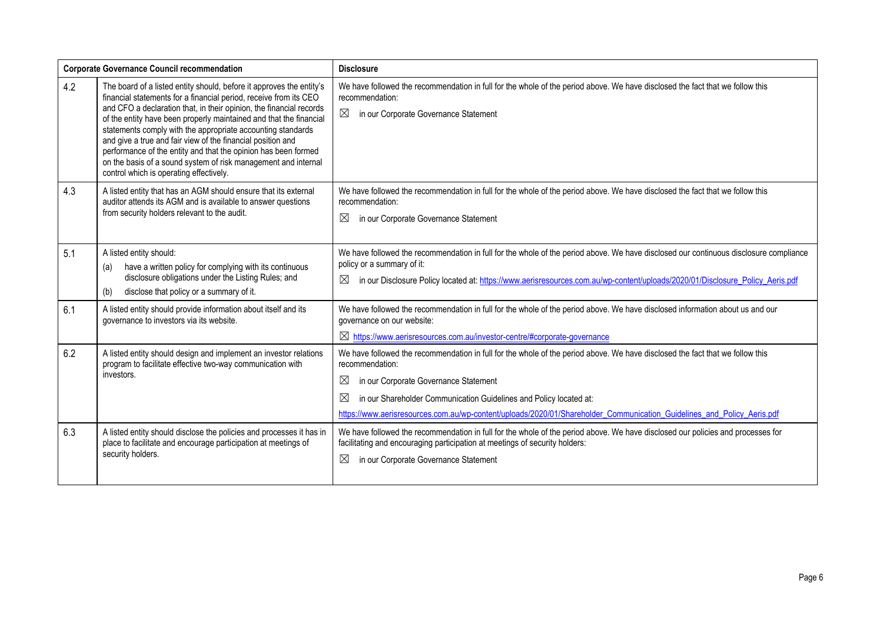| <b>Corporate Governance Council recommendation</b> |                                                                                                                                                                                                                                                                                                                                                                                                                                                                                                                                                                                                     | <b>Disclosure</b>                                                                                                                                                                                                                                                                                                                                                                                   |
|----------------------------------------------------|-----------------------------------------------------------------------------------------------------------------------------------------------------------------------------------------------------------------------------------------------------------------------------------------------------------------------------------------------------------------------------------------------------------------------------------------------------------------------------------------------------------------------------------------------------------------------------------------------------|-----------------------------------------------------------------------------------------------------------------------------------------------------------------------------------------------------------------------------------------------------------------------------------------------------------------------------------------------------------------------------------------------------|
| 4.2                                                | The board of a listed entity should, before it approves the entity's<br>financial statements for a financial period, receive from its CEO<br>and CFO a declaration that, in their opinion, the financial records<br>of the entity have been properly maintained and that the financial<br>statements comply with the appropriate accounting standards<br>and give a true and fair view of the financial position and<br>performance of the entity and that the opinion has been formed<br>on the basis of a sound system of risk management and internal<br>control which is operating effectively. | We have followed the recommendation in full for the whole of the period above. We have disclosed the fact that we follow this<br>recommendation:<br>$\boxtimes$<br>in our Corporate Governance Statement                                                                                                                                                                                            |
| 4.3                                                | A listed entity that has an AGM should ensure that its external<br>auditor attends its AGM and is available to answer questions<br>from security holders relevant to the audit.                                                                                                                                                                                                                                                                                                                                                                                                                     | We have followed the recommendation in full for the whole of the period above. We have disclosed the fact that we follow this<br>recommendation:<br>$\boxtimes$<br>in our Corporate Governance Statement                                                                                                                                                                                            |
| 5.1                                                | A listed entity should:<br>have a written policy for complying with its continuous<br>(a)<br>disclosure obligations under the Listing Rules; and<br>disclose that policy or a summary of it.<br>(b)                                                                                                                                                                                                                                                                                                                                                                                                 | We have followed the recommendation in full for the whole of the period above. We have disclosed our continuous disclosure compliance<br>policy or a summary of it:<br>$\boxtimes$<br>in our Disclosure Policy located at: https://www.aerisresources.com.au/wp-content/uploads/2020/01/Disclosure Policy Aeris.pdf                                                                                 |
| 6.1                                                | A listed entity should provide information about itself and its<br>governance to investors via its website.                                                                                                                                                                                                                                                                                                                                                                                                                                                                                         | We have followed the recommendation in full for the whole of the period above. We have disclosed information about us and our<br>governance on our website:<br>⊠ https://www.aerisresources.com.au/investor-centre/#corporate-governance                                                                                                                                                            |
| 6.2                                                | A listed entity should design and implement an investor relations<br>program to facilitate effective two-way communication with<br>investors.                                                                                                                                                                                                                                                                                                                                                                                                                                                       | We have followed the recommendation in full for the whole of the period above. We have disclosed the fact that we follow this<br>recommendation:<br>⊠<br>in our Corporate Governance Statement<br>⊠<br>in our Shareholder Communication Guidelines and Policy located at:<br>https://www.aerisresources.com.au/wp-content/uploads/2020/01/Shareholder Communication Guidelines and Policy Aeris.pdf |
| 6.3                                                | A listed entity should disclose the policies and processes it has in<br>place to facilitate and encourage participation at meetings of<br>security holders.                                                                                                                                                                                                                                                                                                                                                                                                                                         | We have followed the recommendation in full for the whole of the period above. We have disclosed our policies and processes for<br>facilitating and encouraging participation at meetings of security holders:<br>$\boxtimes$<br>in our Corporate Governance Statement                                                                                                                              |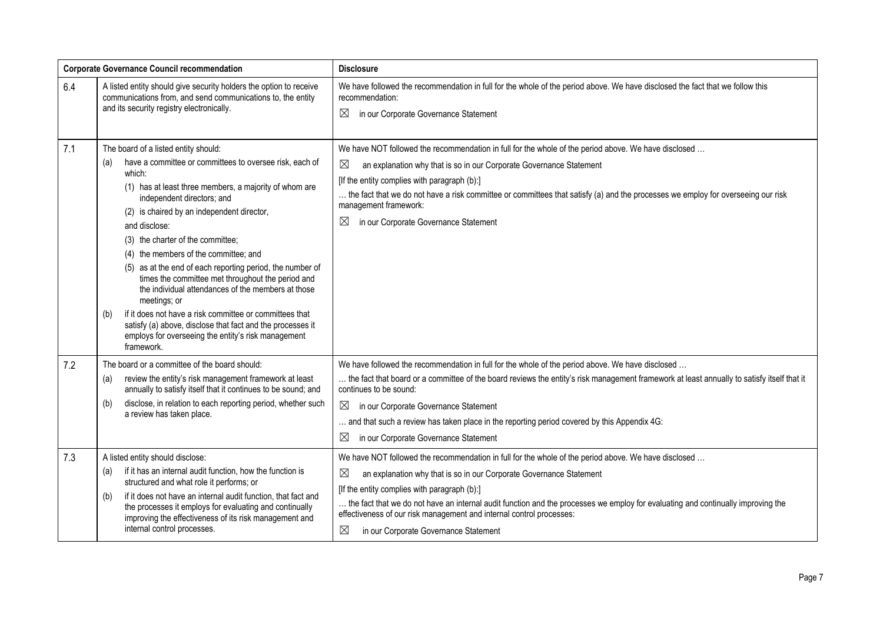| <b>Corporate Governance Council recommendation</b> |                                                                                                                                                                                                                                                                                                                                                                                                                                                                                                                                                                                                                                                                                                                                                    | <b>Disclosure</b>                                                                                                                                                                                                                                                                                                                                                                                                                                                                                              |
|----------------------------------------------------|----------------------------------------------------------------------------------------------------------------------------------------------------------------------------------------------------------------------------------------------------------------------------------------------------------------------------------------------------------------------------------------------------------------------------------------------------------------------------------------------------------------------------------------------------------------------------------------------------------------------------------------------------------------------------------------------------------------------------------------------------|----------------------------------------------------------------------------------------------------------------------------------------------------------------------------------------------------------------------------------------------------------------------------------------------------------------------------------------------------------------------------------------------------------------------------------------------------------------------------------------------------------------|
| 6.4                                                | A listed entity should give security holders the option to receive<br>communications from, and send communications to, the entity<br>and its security registry electronically.                                                                                                                                                                                                                                                                                                                                                                                                                                                                                                                                                                     | We have followed the recommendation in full for the whole of the period above. We have disclosed the fact that we follow this<br>recommendation:<br>$\boxtimes$<br>in our Corporate Governance Statement                                                                                                                                                                                                                                                                                                       |
| 7.1                                                | The board of a listed entity should:<br>have a committee or committees to oversee risk, each of<br>(a)<br>which:<br>(1) has at least three members, a majority of whom are<br>independent directors; and<br>(2) is chaired by an independent director,<br>and disclose:<br>(3) the charter of the committee;<br>(4) the members of the committee; and<br>(5) as at the end of each reporting period, the number of<br>times the committee met throughout the period and<br>the individual attendances of the members at those<br>meetings; or<br>if it does not have a risk committee or committees that<br>(b)<br>satisfy (a) above, disclose that fact and the processes it<br>employs for overseeing the entity's risk management<br>framework. | We have NOT followed the recommendation in full for the whole of the period above. We have disclosed<br>$\boxtimes$<br>an explanation why that is so in our Corporate Governance Statement<br>[If the entity complies with paragraph (b):]<br>the fact that we do not have a risk committee or committees that satisfy (a) and the processes we employ for overseeing our risk<br>management framework:<br>$\boxtimes$<br>in our Corporate Governance Statement                                                |
| 7.2                                                | The board or a committee of the board should:<br>review the entity's risk management framework at least<br>(a)<br>annually to satisfy itself that it continues to be sound; and<br>disclose, in relation to each reporting period, whether such<br>(b)<br>a review has taken place.                                                                                                                                                                                                                                                                                                                                                                                                                                                                | We have followed the recommendation in full for the whole of the period above. We have disclosed<br>the fact that board or a committee of the board reviews the entity's risk management framework at least annually to satisfy itself that it<br>continues to be sound:<br>$\boxtimes$<br>in our Corporate Governance Statement<br>and that such a review has taken place in the reporting period covered by this Appendix 4G:<br>in our Corporate Governance Statement<br>$\boxtimes$                        |
| 7.3                                                | A listed entity should disclose:<br>if it has an internal audit function, how the function is<br>(a)<br>structured and what role it performs; or<br>if it does not have an internal audit function, that fact and<br>(b)<br>the processes it employs for evaluating and continually<br>improving the effectiveness of its risk management and<br>internal control processes.                                                                                                                                                                                                                                                                                                                                                                       | We have NOT followed the recommendation in full for the whole of the period above. We have disclosed<br>$\boxtimes$<br>an explanation why that is so in our Corporate Governance Statement<br>[If the entity complies with paragraph (b):]<br>the fact that we do not have an internal audit function and the processes we employ for evaluating and continually improving the<br>effectiveness of our risk management and internal control processes:<br>$\boxtimes$<br>in our Corporate Governance Statement |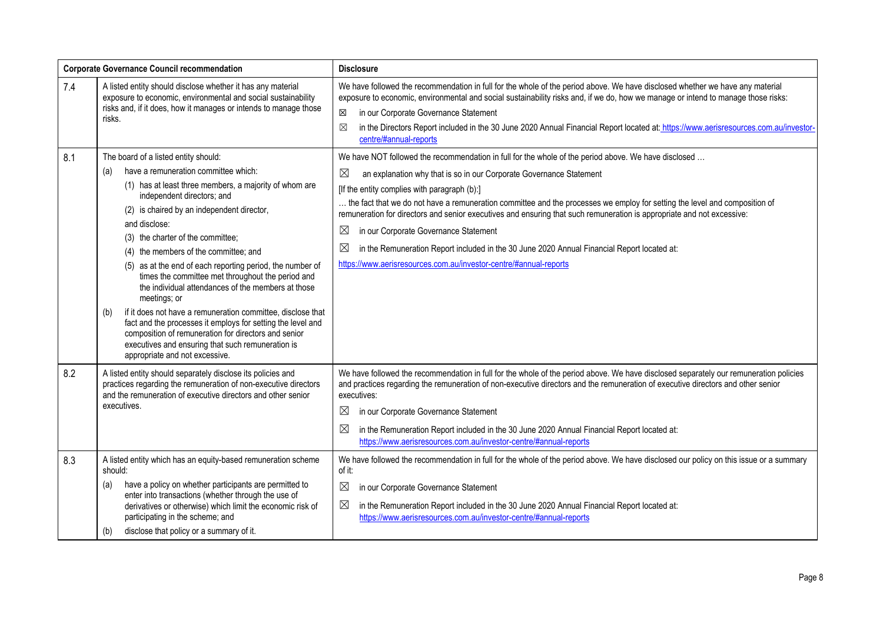| <b>Corporate Governance Council recommendation</b> |                                                                                                                                                                                                                                                                                                                                                                                                                                                                                                                                                                                                                                                                                                                                                                                                      | <b>Disclosure</b>                                                                                                                                                                                                                                                                                                                                                                                                                                                                                                                                                                                                                                                                                                         |
|----------------------------------------------------|------------------------------------------------------------------------------------------------------------------------------------------------------------------------------------------------------------------------------------------------------------------------------------------------------------------------------------------------------------------------------------------------------------------------------------------------------------------------------------------------------------------------------------------------------------------------------------------------------------------------------------------------------------------------------------------------------------------------------------------------------------------------------------------------------|---------------------------------------------------------------------------------------------------------------------------------------------------------------------------------------------------------------------------------------------------------------------------------------------------------------------------------------------------------------------------------------------------------------------------------------------------------------------------------------------------------------------------------------------------------------------------------------------------------------------------------------------------------------------------------------------------------------------------|
| 7.4                                                | A listed entity should disclose whether it has any material<br>exposure to economic, environmental and social sustainability<br>risks and, if it does, how it manages or intends to manage those<br>risks.                                                                                                                                                                                                                                                                                                                                                                                                                                                                                                                                                                                           | We have followed the recommendation in full for the whole of the period above. We have disclosed whether we have any material<br>exposure to economic, environmental and social sustainability risks and, if we do, how we manage or intend to manage those risks:<br>in our Corporate Governance Statement<br>X<br>in the Directors Report included in the 30 June 2020 Annual Financial Report located at: https://www.aerisresources.com.au/investor-<br>⊠<br>centre/#annual-reports                                                                                                                                                                                                                                   |
| 8.1                                                | The board of a listed entity should:<br>have a remuneration committee which:<br>(a)<br>(1) has at least three members, a majority of whom are<br>independent directors; and<br>(2) is chaired by an independent director,<br>and disclose:<br>(3) the charter of the committee;<br>(4) the members of the committee; and<br>(5) as at the end of each reporting period, the number of<br>times the committee met throughout the period and<br>the individual attendances of the members at those<br>meetings; or<br>if it does not have a remuneration committee, disclose that<br>(b)<br>fact and the processes it employs for setting the level and<br>composition of remuneration for directors and senior<br>executives and ensuring that such remuneration is<br>appropriate and not excessive. | We have NOT followed the recommendation in full for the whole of the period above. We have disclosed<br>an explanation why that is so in our Corporate Governance Statement<br>$\boxtimes$<br>[If the entity complies with paragraph (b):]<br>the fact that we do not have a remuneration committee and the processes we employ for setting the level and composition of<br>remuneration for directors and senior executives and ensuring that such remuneration is appropriate and not excessive:<br>⊠<br>in our Corporate Governance Statement<br>⊠<br>in the Remuneration Report included in the 30 June 2020 Annual Financial Report located at:<br>https://www.aerisresources.com.au/investor-centre/#annual-reports |
| 8.2<br>8.3                                         | A listed entity should separately disclose its policies and<br>practices regarding the remuneration of non-executive directors<br>and the remuneration of executive directors and other senior<br>executives.<br>A listed entity which has an equity-based remuneration scheme                                                                                                                                                                                                                                                                                                                                                                                                                                                                                                                       | We have followed the recommendation in full for the whole of the period above. We have disclosed separately our remuneration policies<br>and practices regarding the remuneration of non-executive directors and the remuneration of executive directors and other senior<br>executives:<br>⊠<br>in our Corporate Governance Statement<br>$\boxtimes$<br>in the Remuneration Report included in the 30 June 2020 Annual Financial Report located at:<br>https://www.aerisresources.com.au/investor-centre/#annual-reports<br>We have followed the recommendation in full for the whole of the period above. We have disclosed our policy on this issue or a summary                                                       |
|                                                    | should:<br>have a policy on whether participants are permitted to<br>(a)<br>enter into transactions (whether through the use of<br>derivatives or otherwise) which limit the economic risk of<br>participating in the scheme; and<br>disclose that policy or a summary of it.<br>(b)                                                                                                                                                                                                                                                                                                                                                                                                                                                                                                                 | of it:<br>$\boxtimes$<br>in our Corporate Governance Statement<br>$\boxtimes$<br>in the Remuneration Report included in the 30 June 2020 Annual Financial Report located at:<br>https://www.aerisresources.com.au/investor-centre/#annual-reports                                                                                                                                                                                                                                                                                                                                                                                                                                                                         |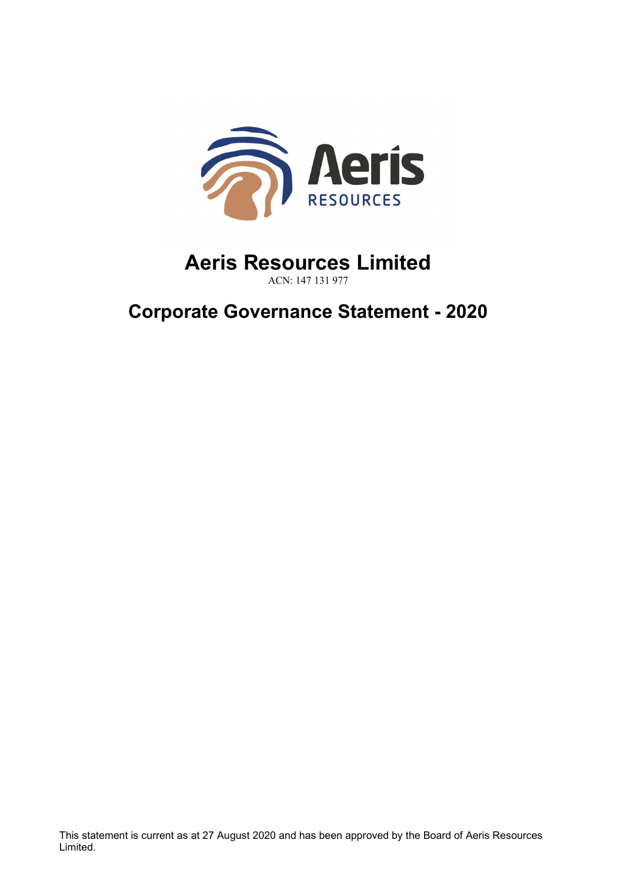

## **Aeris Resources Limited** ACN: 147 131 977

**Corporate Governance Statement - 2020**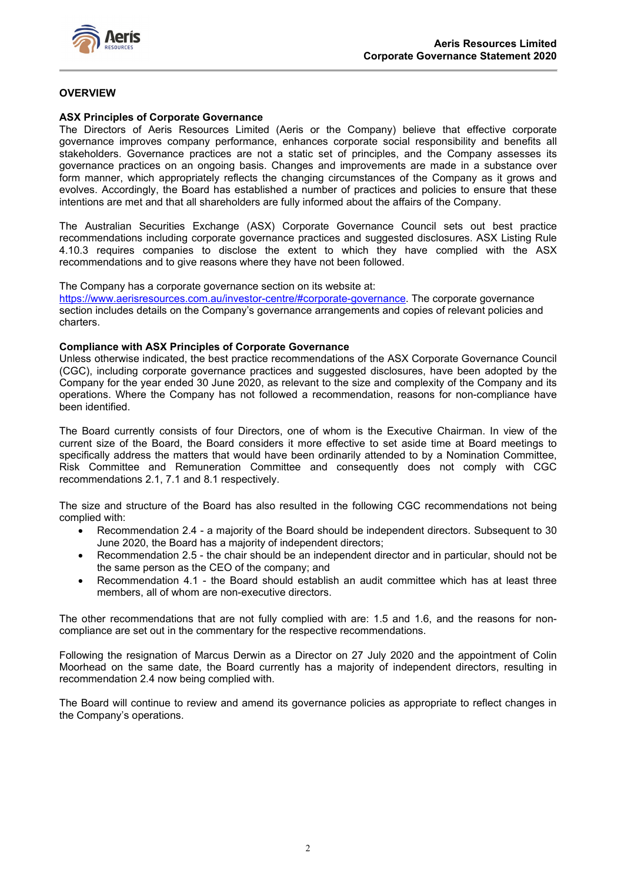

## **OVERVIEW**

## **ASX Principles of Corporate Governance**

The Directors of Aeris Resources Limited (Aeris or the Company) believe that effective corporate governance improves company performance, enhances corporate social responsibility and benefits all stakeholders. Governance practices are not a static set of principles, and the Company assesses its governance practices on an ongoing basis. Changes and improvements are made in a substance over form manner, which appropriately reflects the changing circumstances of the Company as it grows and evolves. Accordingly, the Board has established a number of practices and policies to ensure that these intentions are met and that all shareholders are fully informed about the affairs of the Company.

The Australian Securities Exchange (ASX) Corporate Governance Council sets out best practice recommendations including corporate governance practices and suggested disclosures. ASX Listing Rule 4.10.3 requires companies to disclose the extent to which they have complied with the ASX recommendations and to give reasons where they have not been followed.

The Company has a corporate governance section on its website at:

[https://www.aerisresources.com.au/investor-centre/#corporate-governance.](https://www.aerisresources.com.au/investor-centre/#corporate-governance) The corporate governance section includes details on the Company's governance arrangements and copies of relevant policies and charters.

#### **Compliance with ASX Principles of Corporate Governance**

Unless otherwise indicated, the best practice recommendations of the ASX Corporate Governance Council (CGC), including corporate governance practices and suggested disclosures, have been adopted by the Company for the year ended 30 June 2020, as relevant to the size and complexity of the Company and its operations. Where the Company has not followed a recommendation, reasons for non-compliance have been identified.

The Board currently consists of four Directors, one of whom is the Executive Chairman. In view of the current size of the Board, the Board considers it more effective to set aside time at Board meetings to specifically address the matters that would have been ordinarily attended to by a Nomination Committee, Risk Committee and Remuneration Committee and consequently does not comply with CGC recommendations 2.1, 7.1 and 8.1 respectively.

The size and structure of the Board has also resulted in the following CGC recommendations not being complied with:

- Recommendation 2.4 a majority of the Board should be independent directors. Subsequent to 30 June 2020, the Board has a majority of independent directors;
- Recommendation 2.5 the chair should be an independent director and in particular, should not be the same person as the CEO of the company; and
- Recommendation 4.1 the Board should establish an audit committee which has at least three members, all of whom are non-executive directors.

The other recommendations that are not fully complied with are: 1.5 and 1.6, and the reasons for noncompliance are set out in the commentary for the respective recommendations.

Following the resignation of Marcus Derwin as a Director on 27 July 2020 and the appointment of Colin Moorhead on the same date, the Board currently has a majority of independent directors, resulting in recommendation 2.4 now being complied with.

The Board will continue to review and amend its governance policies as appropriate to reflect changes in the Company's operations.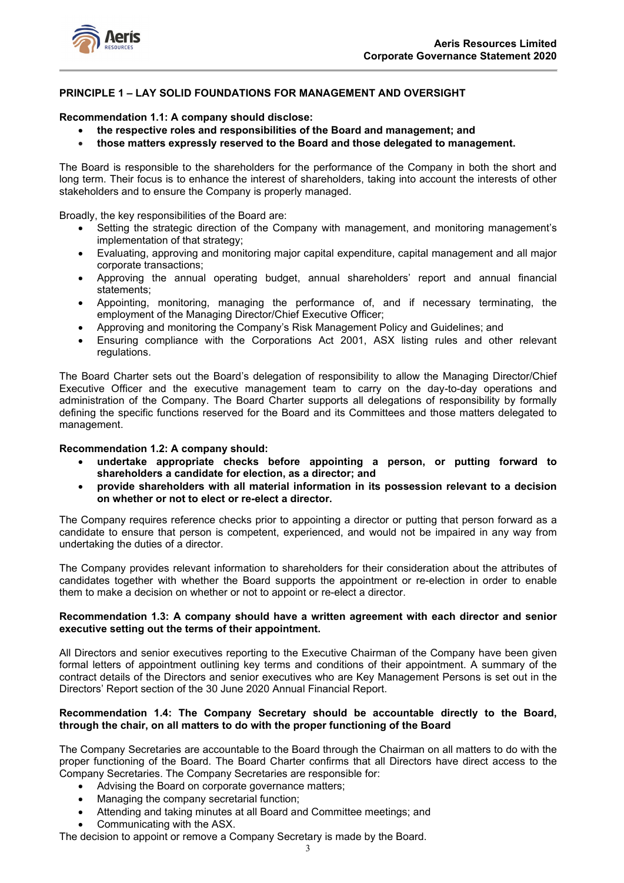

## **PRINCIPLE 1 – LAY SOLID FOUNDATIONS FOR MANAGEMENT AND OVERSIGHT**

## **Recommendation 1.1: A company should disclose:**

- **the respective roles and responsibilities of the Board and management; and**
- **those matters expressly reserved to the Board and those delegated to management.**

The Board is responsible to the shareholders for the performance of the Company in both the short and long term. Their focus is to enhance the interest of shareholders, taking into account the interests of other stakeholders and to ensure the Company is properly managed.

Broadly, the key responsibilities of the Board are:

- Setting the strategic direction of the Company with management, and monitoring management's implementation of that strategy;
- Evaluating, approving and monitoring major capital expenditure, capital management and all major corporate transactions;
- Approving the annual operating budget, annual shareholders' report and annual financial statements;
- Appointing, monitoring, managing the performance of, and if necessary terminating, the employment of the Managing Director/Chief Executive Officer;
- Approving and monitoring the Company's Risk Management Policy and Guidelines; and
- Ensuring compliance with the Corporations Act 2001, ASX listing rules and other relevant regulations.

The Board Charter sets out the Board's delegation of responsibility to allow the Managing Director/Chief Executive Officer and the executive management team to carry on the day-to-day operations and administration of the Company. The Board Charter supports all delegations of responsibility by formally defining the specific functions reserved for the Board and its Committees and those matters delegated to management.

#### **Recommendation 1.2: A company should:**

- **undertake appropriate checks before appointing a person, or putting forward to shareholders a candidate for election, as a director; and**
- **provide shareholders with all material information in its possession relevant to a decision on whether or not to elect or re-elect a director.**

The Company requires reference checks prior to appointing a director or putting that person forward as a candidate to ensure that person is competent, experienced, and would not be impaired in any way from undertaking the duties of a director.

The Company provides relevant information to shareholders for their consideration about the attributes of candidates together with whether the Board supports the appointment or re-election in order to enable them to make a decision on whether or not to appoint or re-elect a director.

#### **Recommendation 1.3: A company should have a written agreement with each director and senior executive setting out the terms of their appointment.**

All Directors and senior executives reporting to the Executive Chairman of the Company have been given formal letters of appointment outlining key terms and conditions of their appointment. A summary of the contract details of the Directors and senior executives who are Key Management Persons is set out in the Directors' Report section of the 30 June 2020 Annual Financial Report.

#### **Recommendation 1.4: The Company Secretary should be accountable directly to the Board, through the chair, on all matters to do with the proper functioning of the Board**

The Company Secretaries are accountable to the Board through the Chairman on all matters to do with the proper functioning of the Board. The Board Charter confirms that all Directors have direct access to the Company Secretaries. The Company Secretaries are responsible for:

- Advising the Board on corporate governance matters;
- Managing the company secretarial function;
- Attending and taking minutes at all Board and Committee meetings; and
- Communicating with the ASX.

The decision to appoint or remove a Company Secretary is made by the Board.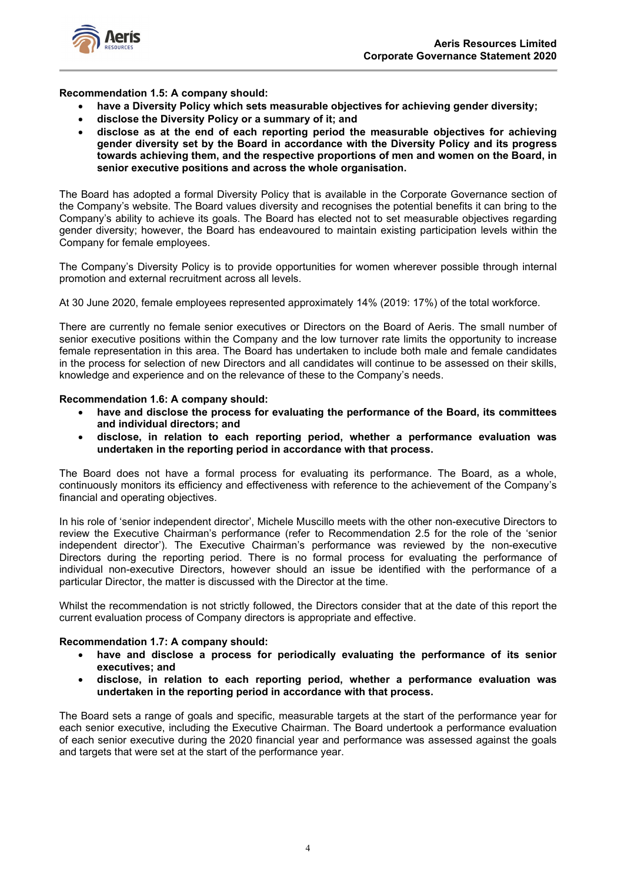

**Recommendation 1.5: A company should:**

- **have a Diversity Policy which sets measurable objectives for achieving gender diversity;**
- **disclose the Diversity Policy or a summary of it; and**
- **disclose as at the end of each reporting period the measurable objectives for achieving gender diversity set by the Board in accordance with the Diversity Policy and its progress towards achieving them, and the respective proportions of men and women on the Board, in senior executive positions and across the whole organisation.**

The Board has adopted a formal Diversity Policy that is available in the Corporate Governance section of the Company's website. The Board values diversity and recognises the potential benefits it can bring to the Company's ability to achieve its goals. The Board has elected not to set measurable objectives regarding gender diversity; however, the Board has endeavoured to maintain existing participation levels within the Company for female employees.

The Company's Diversity Policy is to provide opportunities for women wherever possible through internal promotion and external recruitment across all levels.

At 30 June 2020, female employees represented approximately 14% (2019: 17%) of the total workforce.

There are currently no female senior executives or Directors on the Board of Aeris. The small number of senior executive positions within the Company and the low turnover rate limits the opportunity to increase female representation in this area. The Board has undertaken to include both male and female candidates in the process for selection of new Directors and all candidates will continue to be assessed on their skills, knowledge and experience and on the relevance of these to the Company's needs.

#### **Recommendation 1.6: A company should:**

- **have and disclose the process for evaluating the performance of the Board, its committees and individual directors; and**
- **disclose, in relation to each reporting period, whether a performance evaluation was undertaken in the reporting period in accordance with that process.**

The Board does not have a formal process for evaluating its performance. The Board, as a whole, continuously monitors its efficiency and effectiveness with reference to the achievement of the Company's financial and operating objectives.

In his role of 'senior independent director', Michele Muscillo meets with the other non-executive Directors to review the Executive Chairman's performance (refer to Recommendation 2.5 for the role of the 'senior independent director'). The Executive Chairman's performance was reviewed by the non-executive Directors during the reporting period. There is no formal process for evaluating the performance of individual non-executive Directors, however should an issue be identified with the performance of a particular Director, the matter is discussed with the Director at the time.

Whilst the recommendation is not strictly followed, the Directors consider that at the date of this report the current evaluation process of Company directors is appropriate and effective.

#### **Recommendation 1.7: A company should:**

- **have and disclose a process for periodically evaluating the performance of its senior executives; and**
- **disclose, in relation to each reporting period, whether a performance evaluation was undertaken in the reporting period in accordance with that process.**

The Board sets a range of goals and specific, measurable targets at the start of the performance year for each senior executive, including the Executive Chairman. The Board undertook a performance evaluation of each senior executive during the 2020 financial year and performance was assessed against the goals and targets that were set at the start of the performance year.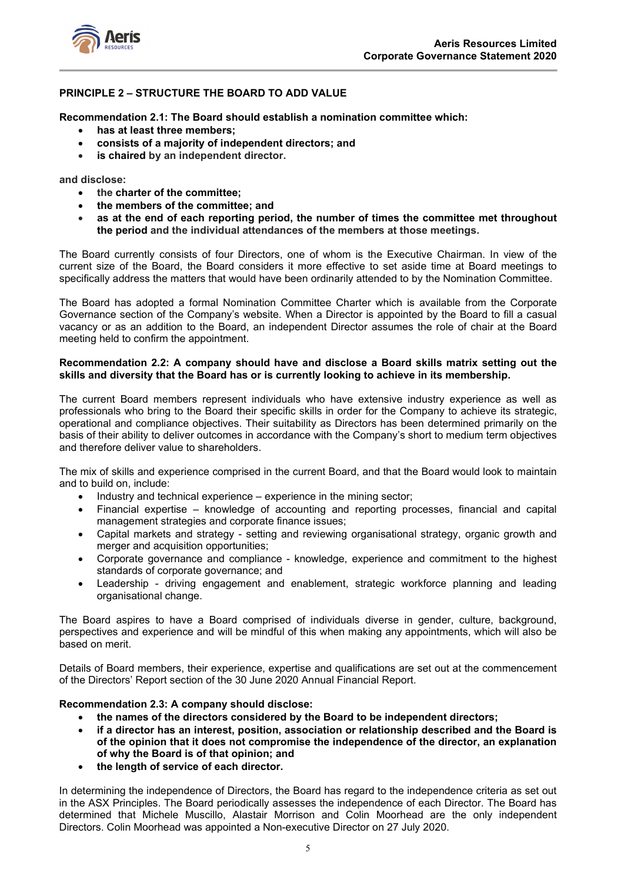

## **PRINCIPLE 2 – STRUCTURE THE BOARD TO ADD VALUE**

**Recommendation 2.1: The Board should establish a nomination committee which:**

- **has at least three members;**
- **consists of a majority of independent directors; and**
- **is chaired by an independent director.**

**and disclose:**

- **the charter of the committee;**
- **the members of the committee; and**
- **as at the end of each reporting period, the number of times the committee met throughout the period and the individual attendances of the members at those meetings.**

The Board currently consists of four Directors, one of whom is the Executive Chairman. In view of the current size of the Board, the Board considers it more effective to set aside time at Board meetings to specifically address the matters that would have been ordinarily attended to by the Nomination Committee.

The Board has adopted a formal Nomination Committee Charter which is available from the Corporate Governance section of the Company's website. When a Director is appointed by the Board to fill a casual vacancy or as an addition to the Board, an independent Director assumes the role of chair at the Board meeting held to confirm the appointment.

## **Recommendation 2.2: A company should have and disclose a Board skills matrix setting out the skills and diversity that the Board has or is currently looking to achieve in its membership.**

The current Board members represent individuals who have extensive industry experience as well as professionals who bring to the Board their specific skills in order for the Company to achieve its strategic, operational and compliance objectives. Their suitability as Directors has been determined primarily on the basis of their ability to deliver outcomes in accordance with the Company's short to medium term objectives and therefore deliver value to shareholders.

The mix of skills and experience comprised in the current Board, and that the Board would look to maintain and to build on, include:

- Industry and technical experience experience in the mining sector;
- Financial expertise knowledge of accounting and reporting processes, financial and capital management strategies and corporate finance issues;
- Capital markets and strategy setting and reviewing organisational strategy, organic growth and merger and acquisition opportunities;
- Corporate governance and compliance knowledge, experience and commitment to the highest standards of corporate governance; and
- Leadership driving engagement and enablement, strategic workforce planning and leading organisational change.

The Board aspires to have a Board comprised of individuals diverse in gender, culture, background, perspectives and experience and will be mindful of this when making any appointments, which will also be based on merit.

Details of Board members, their experience, expertise and qualifications are set out at the commencement of the Directors' Report section of the 30 June 2020 Annual Financial Report.

## **Recommendation 2.3: A company should disclose:**

- **the names of the directors considered by the Board to be independent directors;**
- **if a director has an interest, position, association or relationship described and the Board is of the opinion that it does not compromise the independence of the director, an explanation of why the Board is of that opinion; and**
- **the length of service of each director.**

In determining the independence of Directors, the Board has regard to the independence criteria as set out in the ASX Principles. The Board periodically assesses the independence of each Director. The Board has determined that Michele Muscillo, Alastair Morrison and Colin Moorhead are the only independent Directors. Colin Moorhead was appointed a Non-executive Director on 27 July 2020.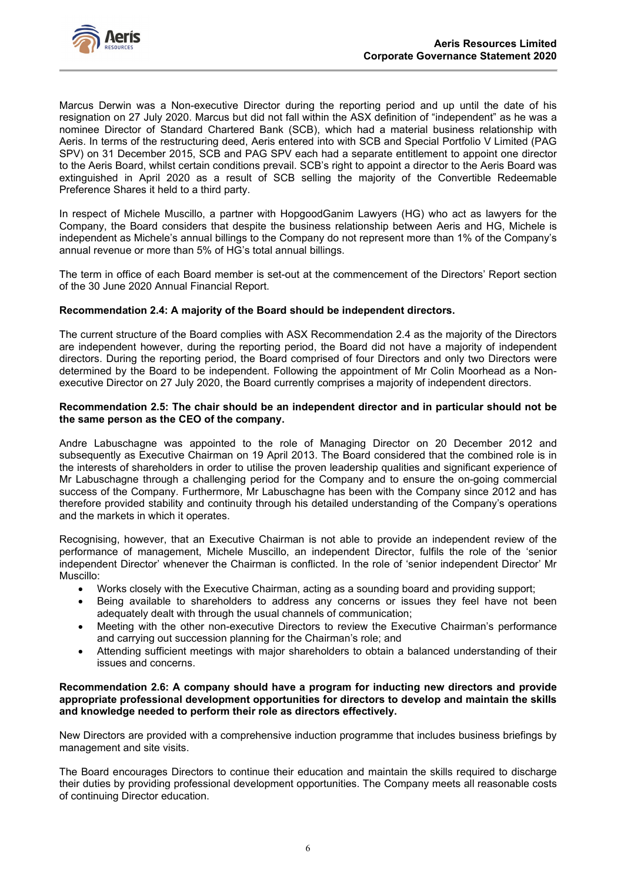

Marcus Derwin was a Non-executive Director during the reporting period and up until the date of his resignation on 27 July 2020. Marcus but did not fall within the ASX definition of "independent" as he was a nominee Director of Standard Chartered Bank (SCB), which had a material business relationship with Aeris. In terms of the restructuring deed, Aeris entered into with SCB and Special Portfolio V Limited (PAG SPV) on 31 December 2015, SCB and PAG SPV each had a separate entitlement to appoint one director to the Aeris Board, whilst certain conditions prevail. SCB's right to appoint a director to the Aeris Board was extinguished in April 2020 as a result of SCB selling the majority of the Convertible Redeemable Preference Shares it held to a third party.

In respect of Michele Muscillo, a partner with HopgoodGanim Lawyers (HG) who act as lawyers for the Company, the Board considers that despite the business relationship between Aeris and HG, Michele is independent as Michele's annual billings to the Company do not represent more than 1% of the Company's annual revenue or more than 5% of HG's total annual billings.

The term in office of each Board member is set-out at the commencement of the Directors' Report section of the 30 June 2020 Annual Financial Report.

## **Recommendation 2.4: A majority of the Board should be independent directors.**

The current structure of the Board complies with ASX Recommendation 2.4 as the majority of the Directors are independent however, during the reporting period, the Board did not have a majority of independent directors. During the reporting period, the Board comprised of four Directors and only two Directors were determined by the Board to be independent. Following the appointment of Mr Colin Moorhead as a Nonexecutive Director on 27 July 2020, the Board currently comprises a majority of independent directors.

## **Recommendation 2.5: The chair should be an independent director and in particular should not be the same person as the CEO of the company.**

Andre Labuschagne was appointed to the role of Managing Director on 20 December 2012 and subsequently as Executive Chairman on 19 April 2013. The Board considered that the combined role is in the interests of shareholders in order to utilise the proven leadership qualities and significant experience of Mr Labuschagne through a challenging period for the Company and to ensure the on-going commercial success of the Company. Furthermore, Mr Labuschagne has been with the Company since 2012 and has therefore provided stability and continuity through his detailed understanding of the Company's operations and the markets in which it operates.

Recognising, however, that an Executive Chairman is not able to provide an independent review of the performance of management, Michele Muscillo, an independent Director, fulfils the role of the 'senior independent Director' whenever the Chairman is conflicted. In the role of 'senior independent Director' Mr Muscillo:

- Works closely with the Executive Chairman, acting as a sounding board and providing support;
- Being available to shareholders to address any concerns or issues they feel have not been adequately dealt with through the usual channels of communication;
- Meeting with the other non-executive Directors to review the Executive Chairman's performance and carrying out succession planning for the Chairman's role; and
- Attending sufficient meetings with major shareholders to obtain a balanced understanding of their issues and concerns.

#### **Recommendation 2.6: A company should have a program for inducting new directors and provide appropriate professional development opportunities for directors to develop and maintain the skills and knowledge needed to perform their role as directors effectively.**

New Directors are provided with a comprehensive induction programme that includes business briefings by management and site visits.

The Board encourages Directors to continue their education and maintain the skills required to discharge their duties by providing professional development opportunities. The Company meets all reasonable costs of continuing Director education.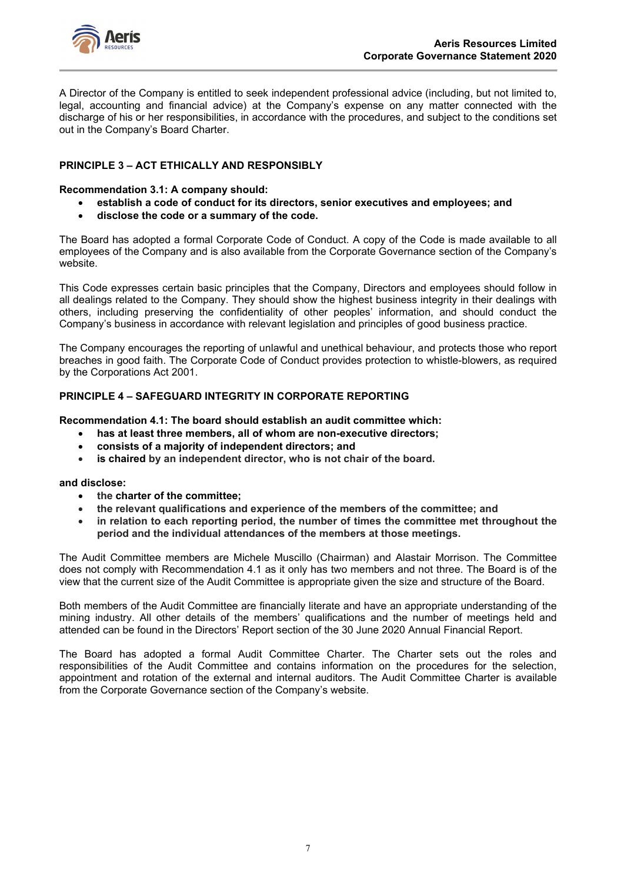

A Director of the Company is entitled to seek independent professional advice (including, but not limited to, legal, accounting and financial advice) at the Company's expense on any matter connected with the discharge of his or her responsibilities, in accordance with the procedures, and subject to the conditions set out in the Company's Board Charter.

## **PRINCIPLE 3 – ACT ETHICALLY AND RESPONSIBLY**

## **Recommendation 3.1: A company should:**

- **establish a code of conduct for its directors, senior executives and employees; and**
- **disclose the code or a summary of the code.**

The Board has adopted a formal Corporate Code of Conduct. A copy of the Code is made available to all employees of the Company and is also available from the Corporate Governance section of the Company's website.

This Code expresses certain basic principles that the Company, Directors and employees should follow in all dealings related to the Company. They should show the highest business integrity in their dealings with others, including preserving the confidentiality of other peoples' information, and should conduct the Company's business in accordance with relevant legislation and principles of good business practice.

The Company encourages the reporting of unlawful and unethical behaviour, and protects those who report breaches in good faith. The Corporate Code of Conduct provides protection to whistle-blowers, as required by the Corporations Act 2001.

## **PRINCIPLE 4 – SAFEGUARD INTEGRITY IN CORPORATE REPORTING**

**Recommendation 4.1: The board should establish an audit committee which:**

- **has at least three members, all of whom are non-executive directors;**
- **consists of a majority of independent directors; and**
- **is chaired by an independent director, who is not chair of the board.**

## **and disclose:**

- **the charter of the committee;**
- **the relevant qualifications and experience of the members of the committee; and**
- **in relation to each reporting period, the number of times the committee met throughout the period and the individual attendances of the members at those meetings.**

The Audit Committee members are Michele Muscillo (Chairman) and Alastair Morrison. The Committee does not comply with Recommendation 4.1 as it only has two members and not three. The Board is of the view that the current size of the Audit Committee is appropriate given the size and structure of the Board.

Both members of the Audit Committee are financially literate and have an appropriate understanding of the mining industry. All other details of the members' qualifications and the number of meetings held and attended can be found in the Directors' Report section of the 30 June 2020 Annual Financial Report.

The Board has adopted a formal Audit Committee Charter. The Charter sets out the roles and responsibilities of the Audit Committee and contains information on the procedures for the selection, appointment and rotation of the external and internal auditors. The Audit Committee Charter is available from the Corporate Governance section of the Company's website.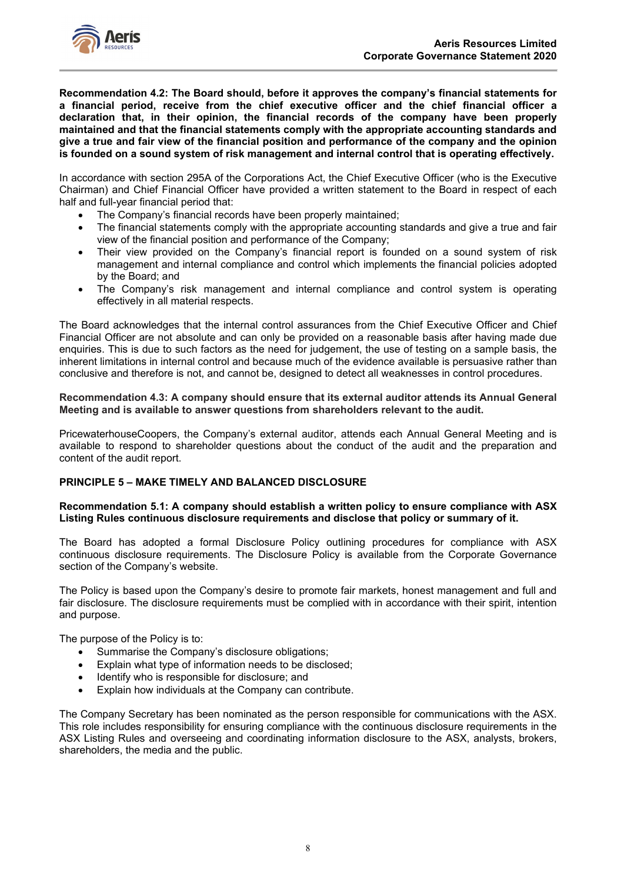

**Recommendation 4.2: The Board should, before it approves the company's financial statements for a financial period, receive from the chief executive officer and the chief financial officer a declaration that, in their opinion, the financial records of the company have been properly maintained and that the financial statements comply with the appropriate accounting standards and give a true and fair view of the financial position and performance of the company and the opinion is founded on a sound system of risk management and internal control that is operating effectively.**

In accordance with section 295A of the Corporations Act, the Chief Executive Officer (who is the Executive Chairman) and Chief Financial Officer have provided a written statement to the Board in respect of each half and full-year financial period that:

- The Company's financial records have been properly maintained;
- The financial statements comply with the appropriate accounting standards and give a true and fair view of the financial position and performance of the Company;
- Their view provided on the Company's financial report is founded on a sound system of risk management and internal compliance and control which implements the financial policies adopted by the Board; and
- The Company's risk management and internal compliance and control system is operating effectively in all material respects.

The Board acknowledges that the internal control assurances from the Chief Executive Officer and Chief Financial Officer are not absolute and can only be provided on a reasonable basis after having made due enquiries. This is due to such factors as the need for judgement, the use of testing on a sample basis, the inherent limitations in internal control and because much of the evidence available is persuasive rather than conclusive and therefore is not, and cannot be, designed to detect all weaknesses in control procedures.

**Recommendation 4.3: A company should ensure that its external auditor attends its Annual General Meeting and is available to answer questions from shareholders relevant to the audit.**

PricewaterhouseCoopers, the Company's external auditor, attends each Annual General Meeting and is available to respond to shareholder questions about the conduct of the audit and the preparation and content of the audit report.

## **PRINCIPLE 5 – MAKE TIMELY AND BALANCED DISCLOSURE**

#### **Recommendation 5.1: A company should establish a written policy to ensure compliance with ASX Listing Rules continuous disclosure requirements and disclose that policy or summary of it.**

The Board has adopted a formal Disclosure Policy outlining procedures for compliance with ASX continuous disclosure requirements. The Disclosure Policy is available from the Corporate Governance section of the Company's website.

The Policy is based upon the Company's desire to promote fair markets, honest management and full and fair disclosure. The disclosure requirements must be complied with in accordance with their spirit, intention and purpose.

The purpose of the Policy is to:

- Summarise the Company's disclosure obligations;
- Explain what type of information needs to be disclosed;
- Identify who is responsible for disclosure; and
- Explain how individuals at the Company can contribute.

The Company Secretary has been nominated as the person responsible for communications with the ASX. This role includes responsibility for ensuring compliance with the continuous disclosure requirements in the ASX Listing Rules and overseeing and coordinating information disclosure to the ASX, analysts, brokers, shareholders, the media and the public.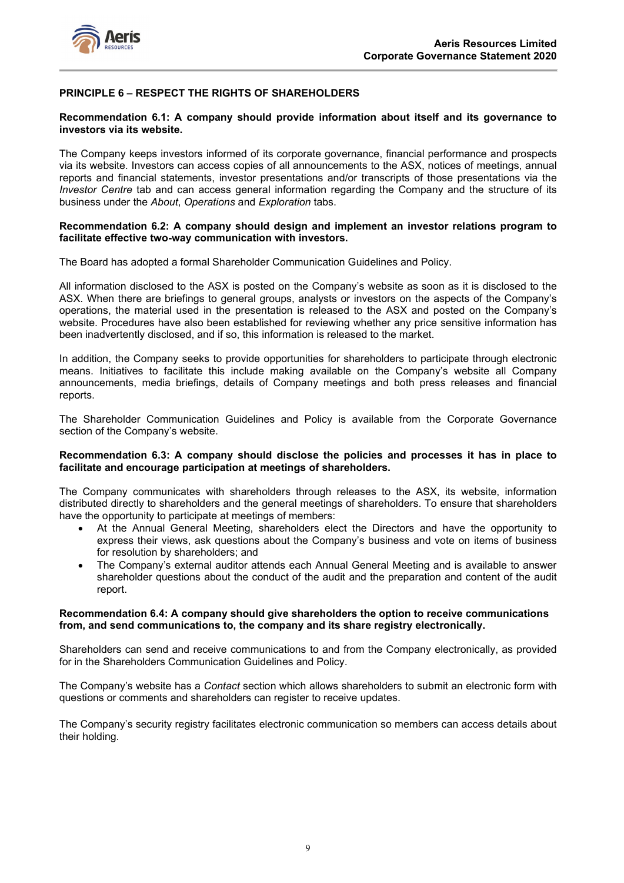



## **PRINCIPLE 6 – RESPECT THE RIGHTS OF SHAREHOLDERS**

## **Recommendation 6.1: A company should provide information about itself and its governance to investors via its website.**

The Company keeps investors informed of its corporate governance, financial performance and prospects via its website. Investors can access copies of all announcements to the ASX, notices of meetings, annual reports and financial statements, investor presentations and/or transcripts of those presentations via the *Investor Centre* tab and can access general information regarding the Company and the structure of its business under the *About*, *Operations* and *Exploration* tabs.

## **Recommendation 6.2: A company should design and implement an investor relations program to facilitate effective two-way communication with investors.**

The Board has adopted a formal Shareholder Communication Guidelines and Policy.

All information disclosed to the ASX is posted on the Company's website as soon as it is disclosed to the ASX. When there are briefings to general groups, analysts or investors on the aspects of the Company's operations, the material used in the presentation is released to the ASX and posted on the Company's website. Procedures have also been established for reviewing whether any price sensitive information has been inadvertently disclosed, and if so, this information is released to the market.

In addition, the Company seeks to provide opportunities for shareholders to participate through electronic means. Initiatives to facilitate this include making available on the Company's website all Company announcements, media briefings, details of Company meetings and both press releases and financial reports.

The Shareholder Communication Guidelines and Policy is available from the Corporate Governance section of the Company's website.

#### **Recommendation 6.3: A company should disclose the policies and processes it has in place to facilitate and encourage participation at meetings of shareholders.**

The Company communicates with shareholders through releases to the ASX, its website, information distributed directly to shareholders and the general meetings of shareholders. To ensure that shareholders have the opportunity to participate at meetings of members:

- At the Annual General Meeting, shareholders elect the Directors and have the opportunity to express their views, ask questions about the Company's business and vote on items of business for resolution by shareholders; and
- The Company's external auditor attends each Annual General Meeting and is available to answer shareholder questions about the conduct of the audit and the preparation and content of the audit report.

## **Recommendation 6.4: A company should give shareholders the option to receive communications from, and send communications to, the company and its share registry electronically.**

Shareholders can send and receive communications to and from the Company electronically, as provided for in the Shareholders Communication Guidelines and Policy.

The Company's website has a *Contact* section which allows shareholders to submit an electronic form with questions or comments and shareholders can register to receive updates.

The Company's security registry facilitates electronic communication so members can access details about their holding.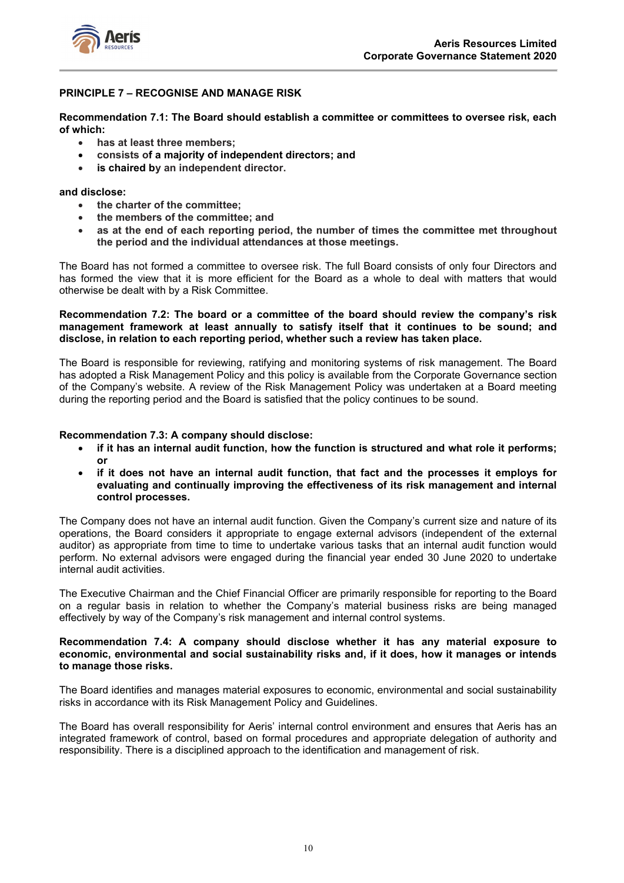

## **PRINCIPLE 7 – RECOGNISE AND MANAGE RISK**

**Recommendation 7.1: The Board should establish a committee or committees to oversee risk, each of which:** 

- **has at least three members;**
- **consists of a majority of independent directors; and**
- **is chaired by an independent director.**

## **and disclose:**

- **the charter of the committee;**
- **the members of the committee; and**
- **as at the end of each reporting period, the number of times the committee met throughout the period and the individual attendances at those meetings.**

The Board has not formed a committee to oversee risk. The full Board consists of only four Directors and has formed the view that it is more efficient for the Board as a whole to deal with matters that would otherwise be dealt with by a Risk Committee.

## **Recommendation 7.2: The board or a committee of the board should review the company's risk management framework at least annually to satisfy itself that it continues to be sound; and disclose, in relation to each reporting period, whether such a review has taken place.**

The Board is responsible for reviewing, ratifying and monitoring systems of risk management. The Board has adopted a Risk Management Policy and this policy is available from the Corporate Governance section of the Company's website. A review of the Risk Management Policy was undertaken at a Board meeting during the reporting period and the Board is satisfied that the policy continues to be sound.

## **Recommendation 7.3: A company should disclose:**

- **if it has an internal audit function, how the function is structured and what role it performs; or**
- **if it does not have an internal audit function, that fact and the processes it employs for evaluating and continually improving the effectiveness of its risk management and internal control processes.**

The Company does not have an internal audit function. Given the Company's current size and nature of its operations, the Board considers it appropriate to engage external advisors (independent of the external auditor) as appropriate from time to time to undertake various tasks that an internal audit function would perform. No external advisors were engaged during the financial year ended 30 June 2020 to undertake internal audit activities.

The Executive Chairman and the Chief Financial Officer are primarily responsible for reporting to the Board on a regular basis in relation to whether the Company's material business risks are being managed effectively by way of the Company's risk management and internal control systems.

## **Recommendation 7.4: A company should disclose whether it has any material exposure to economic, environmental and social sustainability risks and, if it does, how it manages or intends to manage those risks.**

The Board identifies and manages material exposures to economic, environmental and social sustainability risks in accordance with its Risk Management Policy and Guidelines.

The Board has overall responsibility for Aeris' internal control environment and ensures that Aeris has an integrated framework of control, based on formal procedures and appropriate delegation of authority and responsibility. There is a disciplined approach to the identification and management of risk.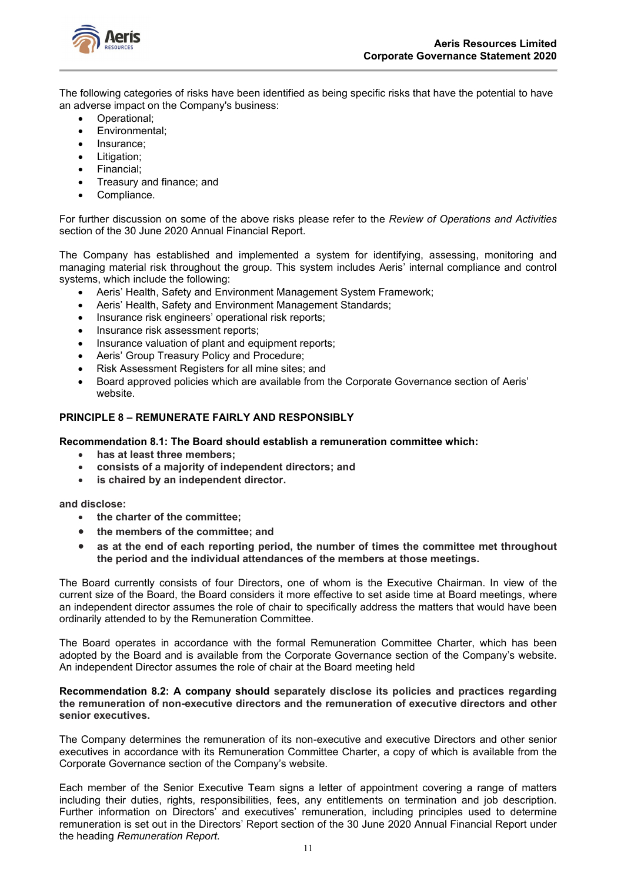

The following categories of risks have been identified as being specific risks that have the potential to have an adverse impact on the Company's business:

- Operational;
- Environmental;
- Insurance:
- Litigation:
- Financial;
- Treasury and finance; and
- Compliance.

For further discussion on some of the above risks please refer to the *Review of Operations and Activities* section of the 30 June 2020 Annual Financial Report.

The Company has established and implemented a system for identifying, assessing, monitoring and managing material risk throughout the group. This system includes Aeris' internal compliance and control systems, which include the following:

- Aeris' Health, Safety and Environment Management System Framework;
- Aeris' Health, Safety and Environment Management Standards;
- Insurance risk engineers' operational risk reports;
- Insurance risk assessment reports:
- Insurance valuation of plant and equipment reports;
- Aeris' Group Treasury Policy and Procedure;
- Risk Assessment Registers for all mine sites; and
- Board approved policies which are available from the Corporate Governance section of Aeris' website.

## **PRINCIPLE 8 – REMUNERATE FAIRLY AND RESPONSIBLY**

## **Recommendation 8.1: The Board should establish a remuneration committee which:**

- **has at least three members;**
- **consists of a majority of independent directors; and**
- **is chaired by an independent director.**

**and disclose:**

- **the charter of the committee;**
- **the members of the committee; and**
- **as at the end of each reporting period, the number of times the committee met throughout the period and the individual attendances of the members at those meetings.**

The Board currently consists of four Directors, one of whom is the Executive Chairman. In view of the current size of the Board, the Board considers it more effective to set aside time at Board meetings, where an independent director assumes the role of chair to specifically address the matters that would have been ordinarily attended to by the Remuneration Committee.

The Board operates in accordance with the formal Remuneration Committee Charter, which has been adopted by the Board and is available from the Corporate Governance section of the Company's website. An independent Director assumes the role of chair at the Board meeting held

#### **Recommendation 8.2: A company should separately disclose its policies and practices regarding the remuneration of non-executive directors and the remuneration of executive directors and other senior executives.**

The Company determines the remuneration of its non-executive and executive Directors and other senior executives in accordance with its Remuneration Committee Charter, a copy of which is available from the Corporate Governance section of the Company's website.

Each member of the Senior Executive Team signs a letter of appointment covering a range of matters including their duties, rights, responsibilities, fees, any entitlements on termination and job description. Further information on Directors' and executives' remuneration, including principles used to determine remuneration is set out in the Directors' Report section of the 30 June 2020 Annual Financial Report under the heading *Remuneration Report*.